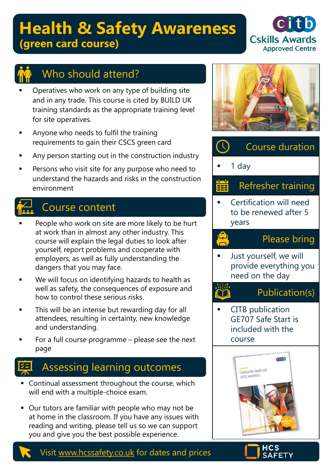# **Health & Safety Awareness (green card course)**





## Who should attend?

- Operatives who work on any type of building site and in any trade. This course is cited by BUILD UK training standards as the appropriate training level for site operatives.
- Anyone who needs to fulfil the training requirements to gain their CSCS green card
- Any person starting out in the construction industry
- Persons who visit site for any purpose who need to understand the hazards and risks in the construction environment

## Course content

- People who work on site are more likely to be hurt at work than in almost any other industry. This course will explain the legal duties to look after yourself, report problems and cooperate with employers, as well as fully understanding the dangers that you may face.
- We will focus on identifying hazards to health as well as safety, the consequences of exposure and how to control these serious risks.
- This will be an intense but rewarding day for all attendees, resulting in certainty, new knowledge and understanding.
- For a full course programme please see the next page

## Assessing learning outcomes

- Continual assessment throughout the course, which will end with a multiple-choice exam.
- Our tutors are familiar with people who may not be at home in the classroom. If you have any issues with reading and writing, please tell us so we can support you and give you the best possible experience.





#### Refresher training Ë

Certification will need to be renewed after 5 years

رے<br>ص

### Please bring

Just yourself, we will provide everything you need on the day

### Publication(s)

**CITB** publication GE707 Safe Start is included with the course





Visit [www.hcssafety.co.uk](http://www.hcssafety.co.uk/) for dates and prices